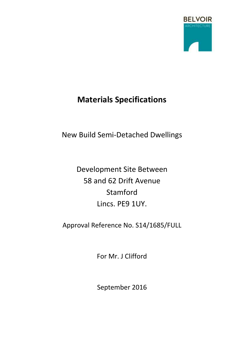

# **Materials Specifications**

## New Build Semi-Detached Dwellings

Development Site Between 58 and 62 Drift Avenue Stamford Lincs. PE9 1UY.

Approval Reference No. S14/1685/FULL

For Mr. J Clifford

September 2016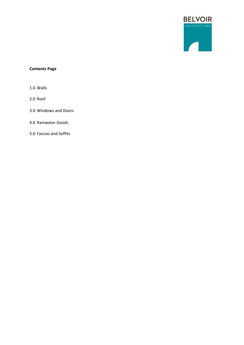

## **Contents Page**

1.0 Walls

2.0 Roof

3.0 Windows and Doors

4.0 Rainwater Goods

5.0 Fascias and Soffits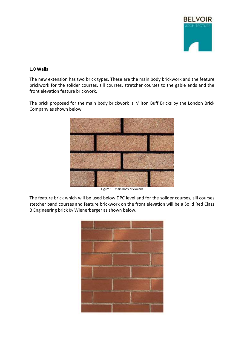

## **1.0 Walls**

The new extension has two brick types. These are the main body brickwork and the feature brickwork for the solider courses, sill courses, stretcher courses to the gable ends and the front elevation feature brickwork.

The brick proposed for the main body brickwork is Milton Buff Bricks by the London Brick Company as shown below.



Figure 1 – main body brickwork

The feature brick which will be used below DPC level and for the solider courses, sill courses stetcher band courses and feature brickwork on the front elevation will be a Solid Red Class B Engineering brick by Wienerberger as shown below.

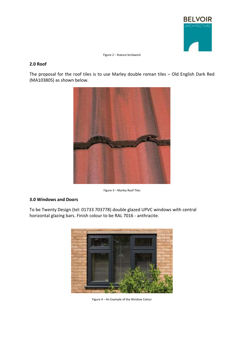

Figure 2 – feature brickwork

#### **2.0 Roof**

The proposal for the roof tiles is to use Marley double roman tiles – Old English Dark Red (MA10380S) as shown below.



Figure 3 – Marley Roof Tiles

## **3.0 Windows and Doors**

To be Twenty Design (tel: 01733 703778) double glazed UPVC windows with central horizontal glazing bars. Finish colour to be RAL 7016 - anthracite.



Figure 4 – An Example of the Window Colour